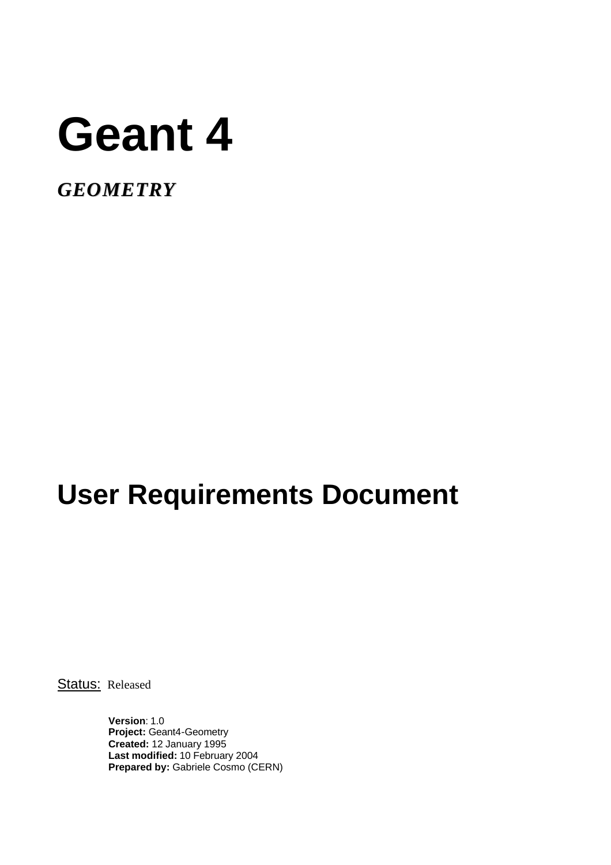# **Geant 4**

*GEOMETRY*

# **User Requirements Document**

Status: Released

**Version**: 1.0 **Project:** Geant4-Geometry **Created:** 12 January 1995 **Last modified:** 10 February 2004 **Prepared by:** Gabriele Cosmo (CERN)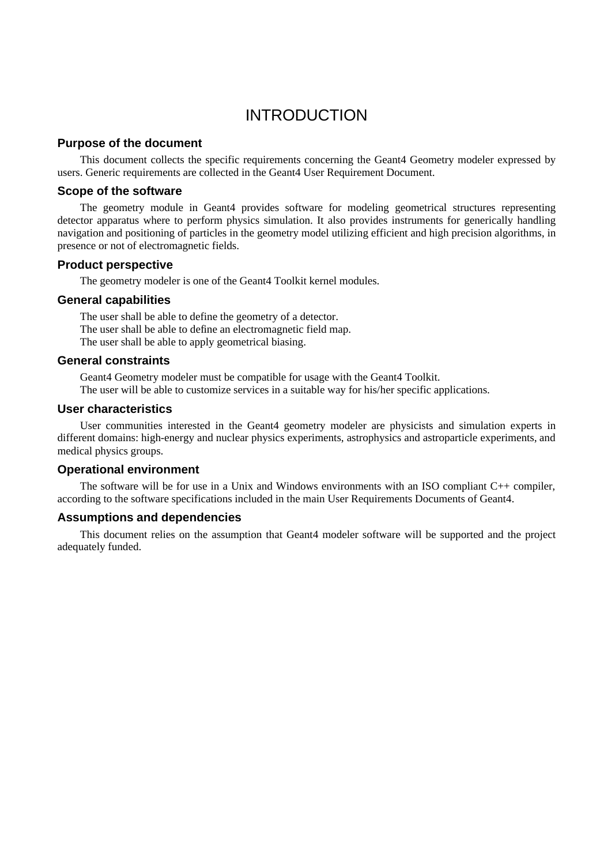# INTRODUCTION

#### **Purpose of the document**

This document collects the specific requirements concerning the Geant4 Geometry modeler expressed by users. Generic requirements are collected in the Geant4 User Requirement Document.

#### **Scope of the software**

The geometry module in Geant4 provides software for modeling geometrical structures representing detector apparatus where to perform physics simulation. It also provides instruments for generically handling navigation and positioning of particles in the geometry model utilizing efficient and high precision algorithms, in presence or not of electromagnetic fields.

#### **Product perspective**

The geometry modeler is one of the Geant4 Toolkit kernel modules.

#### **General capabilities**

The user shall be able to define the geometry of a detector. The user shall be able to define an electromagnetic field map. The user shall be able to apply geometrical biasing.

#### **General constraints**

Geant4 Geometry modeler must be compatible for usage with the Geant4 Toolkit.

The user will be able to customize services in a suitable way for his/her specific applications.

#### **User characteristics**

User communities interested in the Geant4 geometry modeler are physicists and simulation experts in different domains: high-energy and nuclear physics experiments, astrophysics and astroparticle experiments, and medical physics groups.

#### **Operational environment**

The software will be for use in a Unix and Windows environments with an ISO compliant C++ compiler, according to the software specifications included in the main User Requirements Documents of Geant4.

#### **Assumptions and dependencies**

This document relies on the assumption that Geant4 modeler software will be supported and the project adequately funded.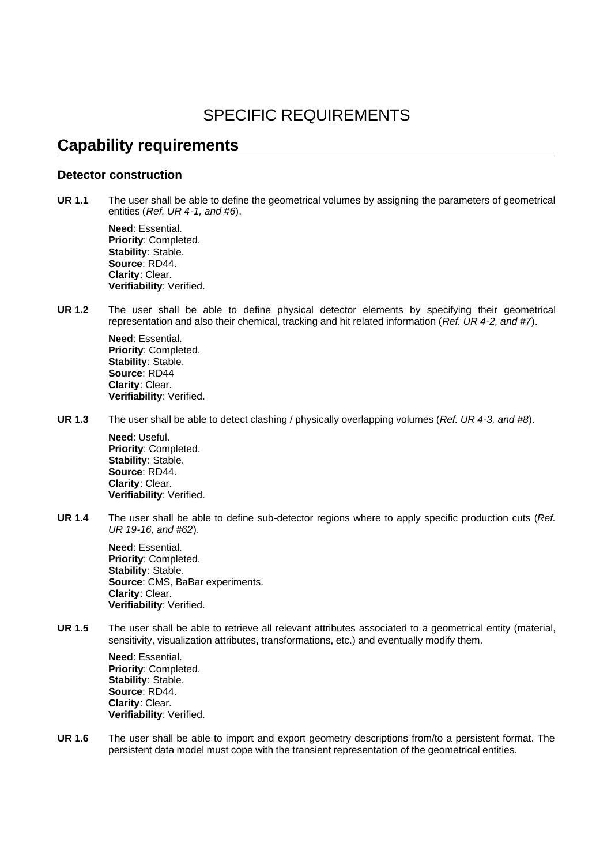# SPECIFIC REQUIREMENTS

### **Capability requirements**

#### **Detector construction**

**UR 1.1** The user shall be able to define the geometrical volumes by assigning the parameters of geometrical entities (*Ref. UR 4-1, and #6*).

**Need**: Essential. **Priority**: Completed. **Stability**: Stable. **Source**: RD44. **Clarity**: Clear. **Verifiability**: Verified.

**UR 1.2** The user shall be able to define physical detector elements by specifying their geometrical representation and also their chemical, tracking and hit related information (*Ref. UR 4-2, and #7*).

> **Need**: Essential. **Priority**: Completed. **Stability**: Stable. **Source**: RD44 **Clarity**: Clear. **Verifiability**: Verified.

**UR 1.3** The user shall be able to detect clashing / physically overlapping volumes (*Ref. UR 4-3, and #8*).

**Need**: Useful. **Priority**: Completed. **Stability**: Stable. **Source**: RD44. **Clarity**: Clear. **Verifiability**: Verified.

**UR 1.4** The user shall be able to define sub-detector regions where to apply specific production cuts (*Ref. UR 19-16, and #62*).

**Need**: Essential. **Priority**: Completed. **Stability**: Stable. **Source**: CMS, BaBar experiments. **Clarity**: Clear. **Verifiability**: Verified.

**UR 1.5** The user shall be able to retrieve all relevant attributes associated to a geometrical entity (material, sensitivity, visualization attributes, transformations, etc.) and eventually modify them.

**Need**: Essential. **Priority**: Completed. **Stability**: Stable. **Source**: RD44. **Clarity**: Clear. **Verifiability**: Verified.

**UR 1.6** The user shall be able to import and export geometry descriptions from/to a persistent format. The persistent data model must cope with the transient representation of the geometrical entities.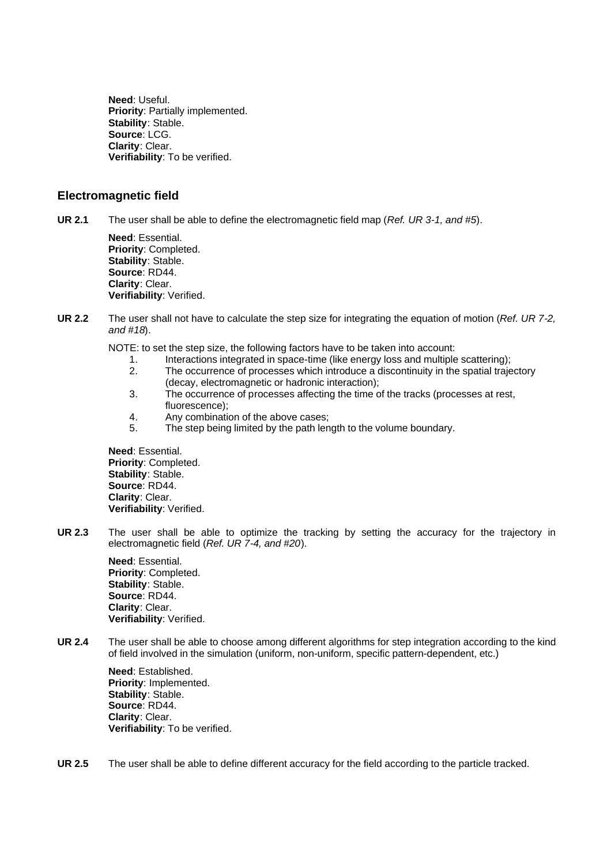**Need**: Useful. **Priority**: Partially implemented. **Stability**: Stable. **Source**: LCG. **Clarity**: Clear. **Verifiability**: To be verified.

#### **Electromagnetic field**

**UR 2.1** The user shall be able to define the electromagnetic field map (*Ref. UR 3-1, and #5*).

**Need**: Essential. **Priority**: Completed. **Stability**: Stable. **Source**: RD44. **Clarity**: Clear. **Verifiability**: Verified.

- **UR 2.2** The user shall not have to calculate the step size for integrating the equation of motion (*Ref. UR 7-2, and #18*).
	- NOTE: to set the step size, the following factors have to be taken into account:
		- 1. Interactions integrated in space-time (like energy loss and multiple scattering);
		- 2. The occurrence of processes which introduce a discontinuity in the spatial trajectory (decay, electromagnetic or hadronic interaction);
		- 3. The occurrence of processes affecting the time of the tracks (processes at rest, fluorescence);
		- 4. Any combination of the above cases;
		- 5. The step being limited by the path length to the volume boundary.

**Need**: Essential. **Priority**: Completed. **Stability**: Stable. **Source**: RD44. **Clarity**: Clear. **Verifiability**: Verified.

**UR 2.3** The user shall be able to optimize the tracking by setting the accuracy for the trajectory in electromagnetic field (*Ref. UR 7-4, and #20*).

> **Need**: Essential. **Priority**: Completed. **Stability**: Stable. **Source**: RD44. **Clarity**: Clear. **Verifiability**: Verified.

**UR 2.4** The user shall be able to choose among different algorithms for step integration according to the kind of field involved in the simulation (uniform, non-uniform, specific pattern-dependent, etc.)

**Need**: Established. **Priority**: Implemented. **Stability**: Stable. **Source**: RD44. **Clarity**: Clear. **Verifiability**: To be verified.

**UR 2.5** The user shall be able to define different accuracy for the field according to the particle tracked.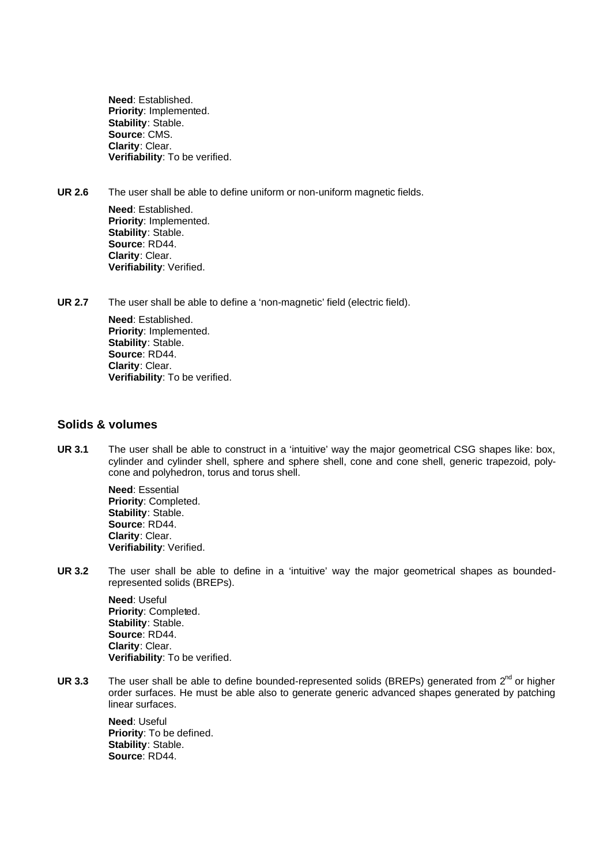**Need**: Established. **Priority**: Implemented. **Stability**: Stable. **Source**: CMS. **Clarity**: Clear. **Verifiability**: To be verified.

**UR 2.6** The user shall be able to define uniform or non-uniform magnetic fields.

**Need**: Established. **Priority**: Implemented. **Stability**: Stable. **Source**: RD44. **Clarity**: Clear. **Verifiability**: Verified.

**UR 2.7** The user shall be able to define a 'non-magnetic' field (electric field).

**Need**: Established. **Priority**: Implemented. **Stability**: Stable. **Source**: RD44. **Clarity**: Clear. **Verifiability**: To be verified.

#### **Solids & volumes**

**UR 3.1** The user shall be able to construct in a 'intuitive' way the major geometrical CSG shapes like: box, cylinder and cylinder shell, sphere and sphere shell, cone and cone shell, generic trapezoid, polycone and polyhedron, torus and torus shell.

> **Need**: Essential **Priority**: Completed. **Stability**: Stable. **Source**: RD44. **Clarity**: Clear. **Verifiability**: Verified.

**UR 3.2** The user shall be able to define in a 'intuitive' way the major geometrical shapes as boundedrepresented solids (BREPs).

> **Need**: Useful **Priority**: Completed. **Stability**: Stable. **Source**: RD44. **Clarity**: Clear. **Verifiability**: To be verified.

UR 3.3 The user shall be able to define bounded-represented solids (BREPs) generated from  $2^{nd}$  or higher order surfaces. He must be able also to generate generic advanced shapes generated by patching linear surfaces.

> **Need**: Useful **Priority**: To be defined. **Stability**: Stable. **Source**: RD44.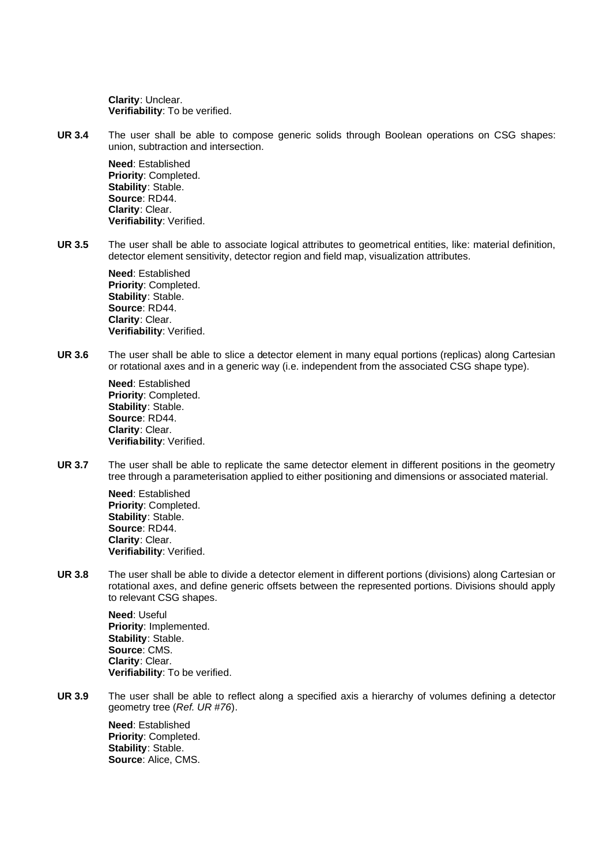**Clarity**: Unclear. **Verifiability**: To be verified.

**UR 3.4** The user shall be able to compose generic solids through Boolean operations on CSG shapes: union, subtraction and intersection.

> **Need**: Established **Priority**: Completed. **Stability**: Stable. **Source**: RD44. **Clarity**: Clear. **Verifiability**: Verified.

**UR 3.5** The user shall be able to associate logical attributes to geometrical entities, like: material definition, detector element sensitivity, detector region and field map, visualization attributes.

> **Need**: Established **Priority**: Completed. **Stability**: Stable. **Source**: RD44. **Clarity**: Clear. **Verifiability**: Verified.

**UR 3.6** The user shall be able to slice a detector element in many equal portions (replicas) along Cartesian or rotational axes and in a generic way (i.e. independent from the associated CSG shape type).

> **Need**: Established **Priority**: Completed. **Stability**: Stable. **Source**: RD44. **Clarity**: Clear. **Verifiability**: Verified.

**UR 3.7** The user shall be able to replicate the same detector element in different positions in the geometry tree through a parameterisation applied to either positioning and dimensions or associated material.

> **Need**: Established **Priority**: Completed. **Stability**: Stable. **Source**: RD44. **Clarity**: Clear. **Verifiability**: Verified.

**UR 3.8** The user shall be able to divide a detector element in different portions (divisions) along Cartesian or rotational axes, and define generic offsets between the represented portions. Divisions should apply to relevant CSG shapes.

> **Need**: Useful **Priority**: Implemented. **Stability**: Stable. **Source**: CMS. **Clarity**: Clear. **Verifiability**: To be verified.

**UR 3.9** The user shall be able to reflect along a specified axis a hierarchy of volumes defining a detector geometry tree (*Ref. UR #76*).

> **Need**: Established **Priority**: Completed. **Stability**: Stable. **Source**: Alice, CMS.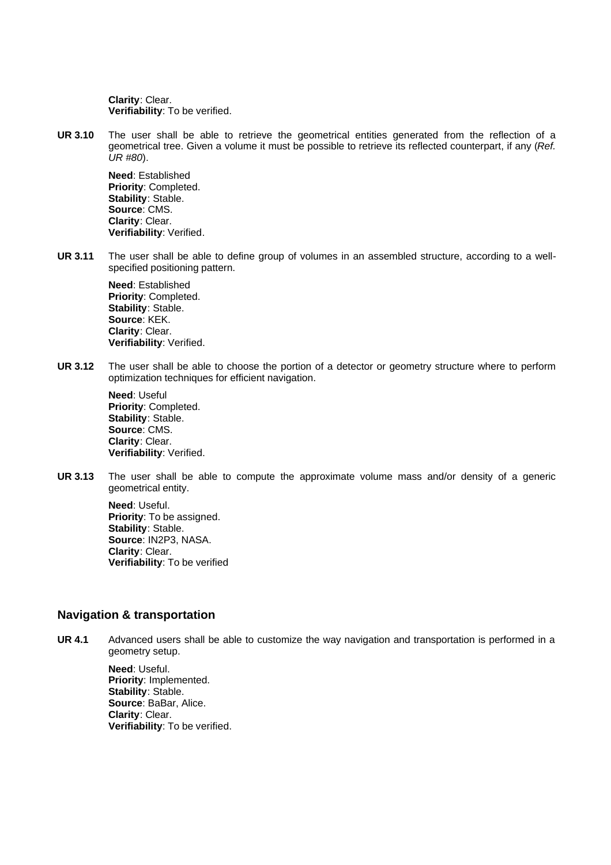**Clarity**: Clear. **Verifiability**: To be verified.

**UR 3.10** The user shall be able to retrieve the geometrical entities generated from the reflection of a geometrical tree. Given a volume it must be possible to retrieve its reflected counterpart, if any (*Ref. UR #80*).

**Need**: Established **Priority**: Completed. **Stability**: Stable. **Source**: CMS. **Clarity**: Clear. **Verifiability**: Verified.

**UR 3.11** The user shall be able to define group of volumes in an assembled structure, according to a wellspecified positioning pattern.

> **Need**: Established **Priority**: Completed. **Stability**: Stable. **Source**: KEK. **Clarity**: Clear. **Verifiability**: Verified.

**UR 3.12** The user shall be able to choose the portion of a detector or geometry structure where to perform optimization techniques for efficient navigation.

**Need**: Useful **Priority**: Completed. **Stability**: Stable. **Source**: CMS. **Clarity**: Clear. **Verifiability**: Verified.

**UR 3.13** The user shall be able to compute the approximate volume mass and/or density of a generic geometrical entity.

> **Need**: Useful. **Priority**: To be assigned. **Stability**: Stable. **Source**: IN2P3, NASA. **Clarity**: Clear. **Verifiability**: To be verified

#### **Navigation & transportation**

**UR 4.1** Advanced users shall be able to customize the way navigation and transportation is performed in a geometry setup.

**Need**: Useful. **Priority**: Implemented. **Stability**: Stable. **Source**: BaBar, Alice. **Clarity**: Clear. **Verifiability**: To be verified.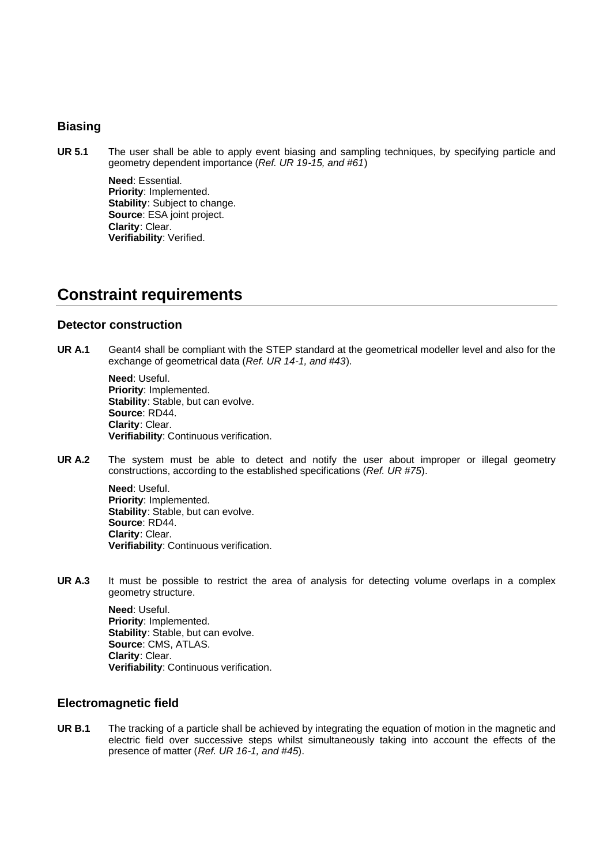#### **Biasing**

**UR 5.1** The user shall be able to apply event biasing and sampling techniques, by specifying particle and geometry dependent importance (*Ref. UR 19-15, and #61*)

> **Need**: Essential. **Priority**: Implemented. **Stability**: Subject to change. **Source**: ESA joint project. **Clarity**: Clear. **Verifiability**: Verified.

## **Constraint requirements**

#### **Detector construction**

**UR A.1** Geant4 shall be compliant with the STEP standard at the geometrical modeller level and also for the exchange of geometrical data (*Ref. UR 14-1, and #43*).

> **Need**: Useful. **Priority**: Implemented. **Stability**: Stable, but can evolve. **Source**: RD44. **Clarity**: Clear. **Verifiability**: Continuous verification.

**UR A.2** The system must be able to detect and notify the user about improper or illegal geometry constructions, according to the established specifications (*Ref. UR #75*).

> **Need**: Useful. **Priority**: Implemented. **Stability**: Stable, but can evolve. **Source**: RD44. **Clarity**: Clear. **Verifiability**: Continuous verification.

UR A.3 It must be possible to restrict the area of analysis for detecting volume overlaps in a complex geometry structure.

> **Need**: Useful. **Priority**: Implemented. **Stability**: Stable, but can evolve. **Source**: CMS, ATLAS. **Clarity**: Clear. **Verifiability**: Continuous verification.

#### **Electromagnetic field**

**UR B.1** The tracking of a particle shall be achieved by integrating the equation of motion in the magnetic and electric field over successive steps whilst simultaneously taking into account the effects of the presence of matter (*Ref. UR 16-1, and #45*).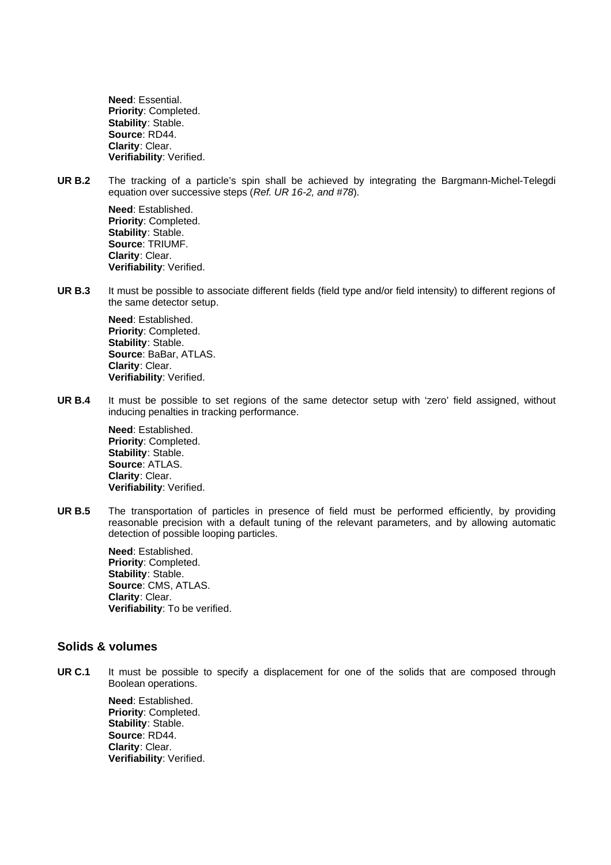**Need**: Essential. **Priority**: Completed. **Stability**: Stable. **Source**: RD44. **Clarity**: Clear. **Verifiability**: Verified.

**UR B.2** The tracking of a particle's spin shall be achieved by integrating the Bargmann-Michel-Telegdi equation over successive steps (*Ref. UR 16-2, and #78*).

**Need**: Established. **Priority**: Completed. **Stability**: Stable. **Source**: TRIUMF. **Clarity**: Clear. **Verifiability**: Verified.

**UR B.3** It must be possible to associate different fields (field type and/or field intensity) to different regions of the same detector setup.

> **Need**: Established. **Priority**: Completed. **Stability**: Stable. **Source**: BaBar, ATLAS. **Clarity**: Clear. **Verifiability**: Verified.

**UR B.4** It must be possible to set regions of the same detector setup with 'zero' field assigned, without inducing penalties in tracking performance.

**Need**: Established. **Priority**: Completed. **Stability**: Stable. **Source**: ATLAS. **Clarity**: Clear. **Verifiability**: Verified.

UR B.5 The transportation of particles in presence of field must be performed efficiently, by providing reasonable precision with a default tuning of the relevant parameters, and by allowing automatic detection of possible looping particles.

> **Need**: Established. **Priority**: Completed. **Stability**: Stable. **Source**: CMS, ATLAS. **Clarity**: Clear. **Verifiability**: To be verified.

#### **Solids & volumes**

**UR C.1** It must be possible to specify a displacement for one of the solids that are composed through Boolean operations.

> **Need**: Established. **Priority**: Completed. **Stability**: Stable. **Source**: RD44. **Clarity**: Clear. **Verifiability**: Verified.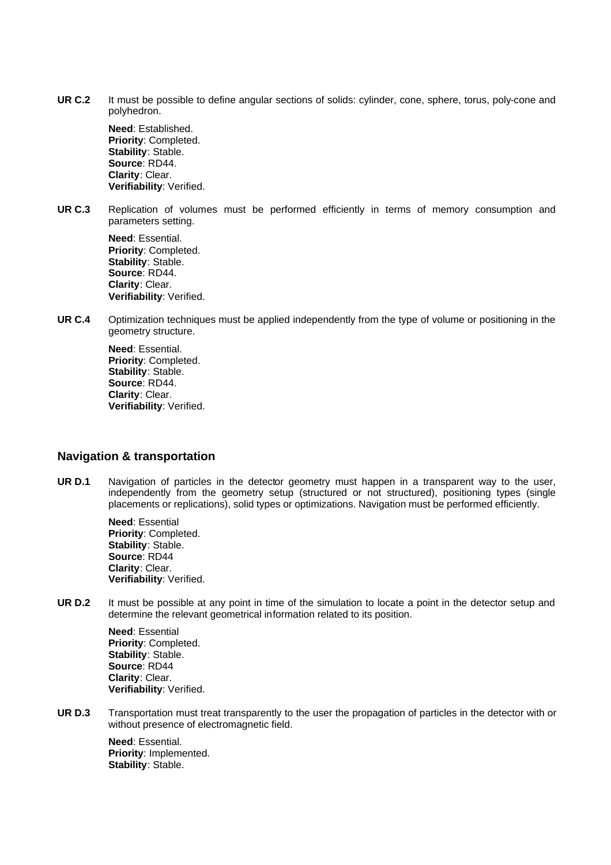**UR C.2** It must be possible to define angular sections of solids: cylinder, cone, sphere, torus, poly-cone and polyhedron.

> **Need**: Established. **Priority**: Completed. **Stability**: Stable. **Source**: RD44. **Clarity**: Clear. **Verifiability**: Verified.

**UR C.3** Replication of volumes must be performed efficiently in terms of memory consumption and parameters setting.

**Need**: Essential. **Priority**: Completed. **Stability**: Stable. **Source**: RD44. **Clarity**: Clear. **Verifiability**: Verified.

**UR C.4** Optimization techniques must be applied independently from the type of volume or positioning in the geometry structure.

> **Need**: Essential. **Priority**: Completed. **Stability**: Stable. **Source**: RD44. **Clarity**: Clear. **Verifiability**: Verified.

#### **Navigation & transportation**

UR D.1 Navigation of particles in the detector geometry must happen in a transparent way to the user, independently from the geometry setup (structured or not structured), positioning types (single placements or replications), solid types or optimizations. Navigation must be performed efficiently.

> **Need**: Essential **Priority**: Completed. **Stability**: Stable. **Source**: RD44 **Clarity**: Clear. **Verifiability**: Verified.

**UR D.2** It must be possible at any point in time of the simulation to locate a point in the detector setup and determine the relevant geometrical information related to its position.

> **Need**: Essential **Priority**: Completed. **Stability**: Stable. **Source**: RD44 **Clarity**: Clear. **Verifiability**: Verified.

**UR D.3** Transportation must treat transparently to the user the propagation of particles in the detector with or without presence of electromagnetic field.

> **Need**: Essential. **Priority**: Implemented. **Stability**: Stable.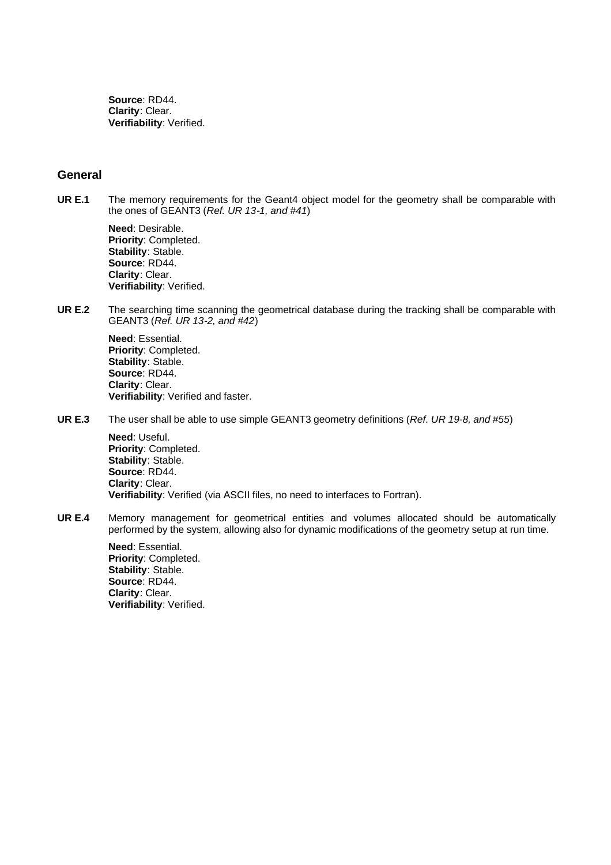**Source**: RD44. **Clarity**: Clear. **Verifiability**: Verified.

#### **General**

**UR E.1** The memory requirements for the Geant4 object model for the geometry shall be comparable with the ones of GEANT3 (*Ref. UR 13-1, and #41*)

> **Need**: Desirable. **Priority**: Completed. **Stability**: Stable. **Source**: RD44. **Clarity**: Clear. **Verifiability**: Verified.

**UR E.2** The searching time scanning the geometrical database during the tracking shall be comparable with GEANT3 (*Ref. UR 13-2, and #42*)

> **Need**: Essential. **Priority**: Completed. **Stability**: Stable. **Source**: RD44. **Clarity**: Clear. **Verifiability**: Verified and faster.

**UR E.3** The user shall be able to use simple GEANT3 geometry definitions (*Ref. UR 19-8, and #55*)

**Need**: Useful. **Priority**: Completed. **Stability**: Stable. **Source**: RD44. **Clarity**: Clear. **Verifiability**: Verified (via ASCII files, no need to interfaces to Fortran).

**UR E.4** Memory management for geometrical entities and volumes allocated should be automatically performed by the system, allowing also for dynamic modifications of the geometry setup at run time.

> **Need**: Essential. **Priority**: Completed. **Stability**: Stable. **Source**: RD44. **Clarity**: Clear. **Verifiability**: Verified.